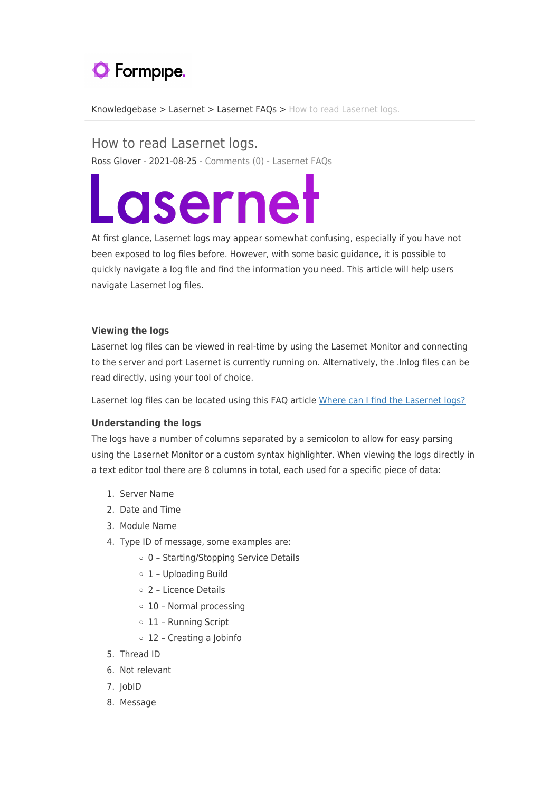# **O** Formpipe.

[Knowledgebase](https://support.formpipe.com/kb) > [Lasernet](https://support.formpipe.com/kb/lasernet-2) > [Lasernet FAQs](https://support.formpipe.com/kb/lasernet-faqs-2) > [How to read Lasernet logs.](https://support.formpipe.com/kb/articles/how-to-read-lasernet-logs)

How to read Lasernet logs. Ross Glover - 2021-08-25 - [Comments \(0\)](#page--1-0) - [Lasernet FAQs](https://support.formpipe.com/kb/lasernet-faqs-2)

# Lasernet

At first glance, Lasernet logs may appear somewhat confusing, especially if you have not been exposed to log files before. However, with some basic guidance, it is possible to quickly navigate a log file and find the information you need. This article will help users navigate Lasernet log files.

### **Viewing the logs**

Lasernet log files can be viewed in real-time by using the Lasernet Monitor and connecting to the server and port Lasernet is currently running on. Alternatively, the .lnlog files can be read directly, using your tool of choice.

Lasernet log files can be located using this FAQ article [Where can I find the Lasernet logs?](https://support.formpipe.com/kb/articles/where-can-i-find-the-lasernet-logs)

## **Understanding the logs**

The logs have a number of columns separated by a semicolon to allow for easy parsing using the Lasernet Monitor or a custom syntax highlighter. When viewing the logs directly in a text editor tool there are 8 columns in total, each used for a specific piece of data:

- 1. Server Name
- 2. Date and Time
- 3. Module Name
- 4. Type ID of message, some examples are:
	- 0 Starting/Stopping Service Details
	- 1 Uploading Build
	- 2 Licence Details
	- 10 Normal processing
	- 11 Running Script
	- 12 Creating a Jobinfo
- 5. Thread ID
- 6. Not relevant
- 7. JobID
- 8. Message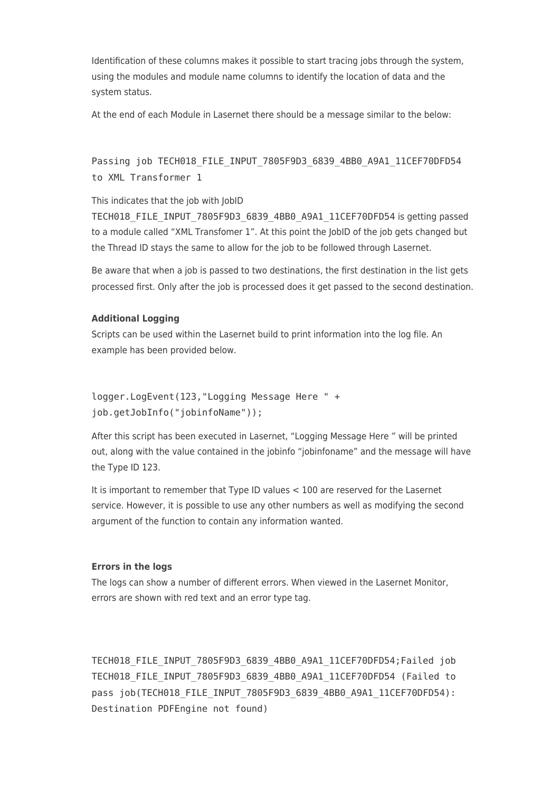Identification of these columns makes it possible to start tracing jobs through the system, using the modules and module name columns to identify the location of data and the system status.

At the end of each Module in Lasernet there should be a message similar to the below:

Passing job TECH018 FILE INPUT 7805F9D3 6839 4BB0 A9A1 11CEF70DFD54 to XML Transformer 1

This indicates that the job with JobID

TECH018\_FILE\_INPUT\_7805F9D3\_6839\_4BB0\_A9A1\_11CEF70DFD54 is getting passed to a module called "XML Transfomer 1". At this point the JobID of the job gets changed but the Thread ID stays the same to allow for the job to be followed through Lasernet.

Be aware that when a job is passed to two destinations, the first destination in the list gets processed first. Only after the job is processed does it get passed to the second destination.

#### **Additional Logging**

Scripts can be used within the Lasernet build to print information into the log file. An example has been provided below.

```
logger.LogEvent(123,"Logging Message Here " +
job.getJobInfo("jobinfoName"));
```
After this script has been executed in Lasernet, "Logging Message Here " will be printed out, along with the value contained in the jobinfo "jobinfoname" and the message will have the Type ID 123.

It is important to remember that Type ID values < 100 are reserved for the Lasernet service. However, it is possible to use any other numbers as well as modifying the second argument of the function to contain any information wanted.

#### **Errors in the logs**

The logs can show a number of different errors. When viewed in the Lasernet Monitor, errors are shown with red text and an error type tag.

TECH018 FILE INPUT 7805F9D3 6839 4BB0 A9A1 11CEF70DFD54;Failed job TECH018 FILE INPUT 7805F9D3 6839 4BB0 A9A1 11CEF70DFD54 (Failed to pass job(TECH018\_FILE\_INPUT\_7805F9D3\_6839\_4BB0\_A9A1\_11CEF70DFD54): Destination PDFEngine not found)